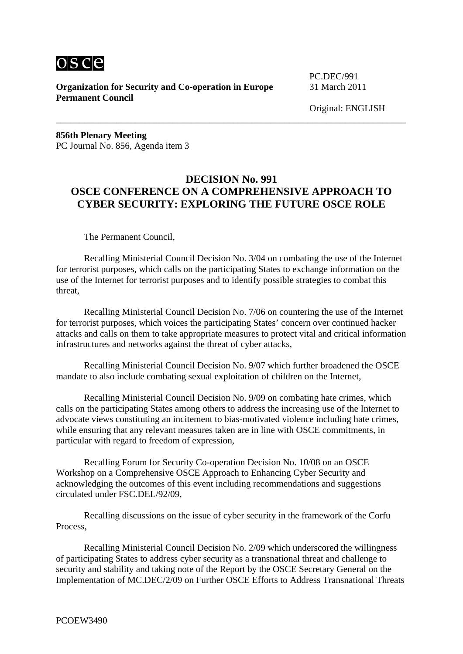

**Organization for Security and Co-operation in Europe** 31 March 2011 **Permanent Council**

PC.DEC/991

Original: ENGLISH

**856th Plenary Meeting**  PC Journal No. 856, Agenda item 3

## **DECISION No. 991 OSCE CONFERENCE ON A COMPREHENSIVE APPROACH TO CYBER SECURITY: EXPLORING THE FUTURE OSCE ROLE**

\_\_\_\_\_\_\_\_\_\_\_\_\_\_\_\_\_\_\_\_\_\_\_\_\_\_\_\_\_\_\_\_\_\_\_\_\_\_\_\_\_\_\_\_\_\_\_\_\_\_\_\_\_\_\_\_\_\_\_\_\_\_\_\_\_\_\_\_\_\_\_\_\_\_\_

The Permanent Council,

 Recalling Ministerial Council Decision No. 3/04 on combating the use of the Internet for terrorist purposes, which calls on the participating States to exchange information on the use of the Internet for terrorist purposes and to identify possible strategies to combat this threat,

 Recalling Ministerial Council Decision No. 7/06 on countering the use of the Internet for terrorist purposes, which voices the participating States' concern over continued hacker attacks and calls on them to take appropriate measures to protect vital and critical information infrastructures and networks against the threat of cyber attacks,

 Recalling Ministerial Council Decision No. 9/07 which further broadened the OSCE mandate to also include combating sexual exploitation of children on the Internet,

 Recalling Ministerial Council Decision No. 9/09 on combating hate crimes, which calls on the participating States among others to address the increasing use of the Internet to advocate views constituting an incitement to bias-motivated violence including hate crimes, while ensuring that any relevant measures taken are in line with OSCE commitments, in particular with regard to freedom of expression,

 Recalling Forum for Security Co-operation Decision No. 10/08 on an OSCE Workshop on a Comprehensive OSCE Approach to Enhancing Cyber Security and acknowledging the outcomes of this event including recommendations and suggestions circulated under FSC.DEL/92/09,

 Recalling discussions on the issue of cyber security in the framework of the Corfu Process,

 Recalling Ministerial Council Decision No. 2/09 which underscored the willingness of participating States to address cyber security as a transnational threat and challenge to security and stability and taking note of the Report by the OSCE Secretary General on the Implementation of MC.DEC/2/09 on Further OSCE Efforts to Address Transnational Threats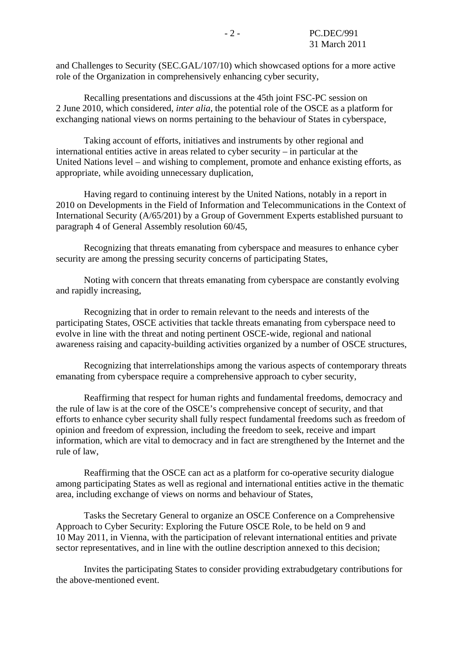and Challenges to Security (SEC.GAL/107/10) which showcased options for a more active role of the Organization in comprehensively enhancing cyber security,

 Recalling presentations and discussions at the 45th joint FSC-PC session on 2 June 2010, which considered, *inter alia*, the potential role of the OSCE as a platform for exchanging national views on norms pertaining to the behaviour of States in cyberspace,

 Taking account of efforts, initiatives and instruments by other regional and international entities active in areas related to cyber security – in particular at the United Nations level – and wishing to complement, promote and enhance existing efforts, as appropriate, while avoiding unnecessary duplication,

 Having regard to continuing interest by the United Nations, notably in a report in 2010 on Developments in the Field of Information and Telecommunications in the Context of International Security (A/65/201) by a Group of Government Experts established pursuant to paragraph 4 of General Assembly resolution 60/45,

 Recognizing that threats emanating from cyberspace and measures to enhance cyber security are among the pressing security concerns of participating States,

 Noting with concern that threats emanating from cyberspace are constantly evolving and rapidly increasing,

 Recognizing that in order to remain relevant to the needs and interests of the participating States, OSCE activities that tackle threats emanating from cyberspace need to evolve in line with the threat and noting pertinent OSCE-wide, regional and national awareness raising and capacity-building activities organized by a number of OSCE structures,

 Recognizing that interrelationships among the various aspects of contemporary threats emanating from cyberspace require a comprehensive approach to cyber security,

 Reaffirming that respect for human rights and fundamental freedoms, democracy and the rule of law is at the core of the OSCE's comprehensive concept of security, and that efforts to enhance cyber security shall fully respect fundamental freedoms such as freedom of opinion and freedom of expression, including the freedom to seek, receive and impart information, which are vital to democracy and in fact are strengthened by the Internet and the rule of law,

 Reaffirming that the OSCE can act as a platform for co-operative security dialogue among participating States as well as regional and international entities active in the thematic area, including exchange of views on norms and behaviour of States,

 Tasks the Secretary General to organize an OSCE Conference on a Comprehensive Approach to Cyber Security: Exploring the Future OSCE Role, to be held on 9 and 10 May 2011, in Vienna, with the participation of relevant international entities and private sector representatives, and in line with the outline description annexed to this decision;

 Invites the participating States to consider providing extrabudgetary contributions for the above-mentioned event.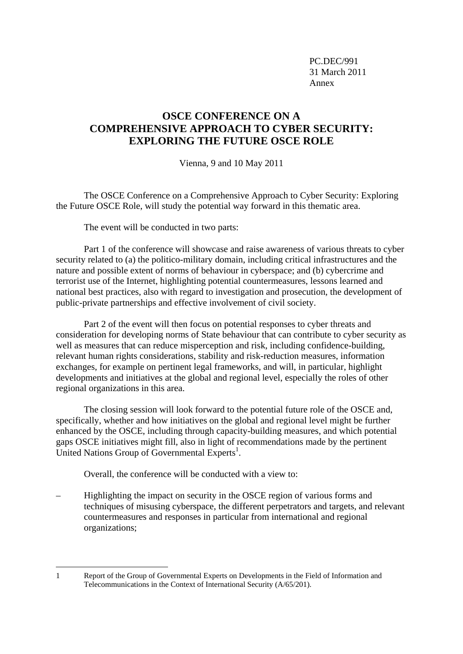PC.DEC/991 31 March 2011 Annex

## **OSCE CONFERENCE ON A COMPREHENSIVE APPROACH TO CYBER SECURITY: EXPLORING THE FUTURE OSCE ROLE**

Vienna, 9 and 10 May 2011

 The OSCE Conference on a Comprehensive Approach to Cyber Security: Exploring the Future OSCE Role, will study the potential way forward in this thematic area.

The event will be conducted in two parts:

 Part 1 of the conference will showcase and raise awareness of various threats to cyber security related to (a) the politico-military domain, including critical infrastructures and the nature and possible extent of norms of behaviour in cyberspace; and (b) cybercrime and terrorist use of the Internet, highlighting potential countermeasures, lessons learned and national best practices, also with regard to investigation and prosecution, the development of public-private partnerships and effective involvement of civil society.

 Part 2 of the event will then focus on potential responses to cyber threats and consideration for developing norms of State behaviour that can contribute to cyber security as well as measures that can reduce misperception and risk, including confidence-building, relevant human rights considerations, stability and risk-reduction measures, information exchanges, for example on pertinent legal frameworks, and will, in particular, highlight developments and initiatives at the global and regional level, especially the roles of other regional organizations in this area.

 The closing session will look forward to the potential future role of the OSCE and, specifically, whether and how initiatives on the global and regional level might be further enhanced by the OSCE, including through capacity-building measures, and which potential gaps OSCE initiatives might fill, also in light of recommendations made by the pertinent United Nations Group of Governmental Experts<sup>1</sup>.

Overall, the conference will be conducted with a view to:

1

– Highlighting the impact on security in the OSCE region of various forms and techniques of misusing cyberspace, the different perpetrators and targets, and relevant countermeasures and responses in particular from international and regional organizations;

<sup>1</sup> Report of the Group of Governmental Experts on Developments in the Field of Information and Telecommunications in the Context of International Security (A/65/201).